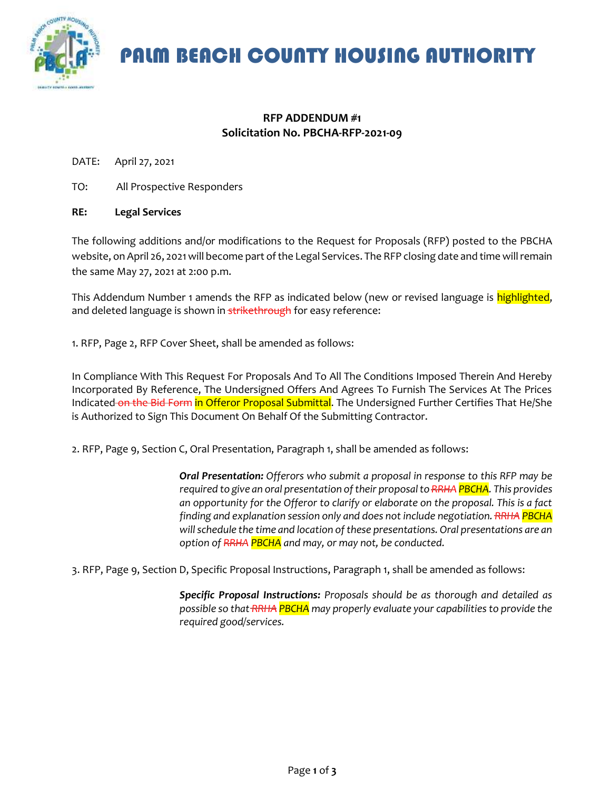

PALM BEACH COUNTY HOUSING AUTHORITY

## **RFP ADDENDUM #1 Solicitation No. PBCHA-RFP-2021-09**

DATE: April 27, 2021

TO: All Prospective Responders

## **RE: Legal Services**

The following additions and/or modifications to the Request for Proposals (RFP) posted to the PBCHA website, on April 26, 2021will become part of the Legal Services. The RFP closing date and time will remain the same May 27, 2021 at 2:00 p.m.

This Addendum Number 1 amends the RFP as indicated below (new or revised language is highlighted, and deleted language is shown in **strikethrough** for easy reference:

1. RFP, Page 2, RFP Cover Sheet, shall be amended as follows:

In Compliance With This Request For Proposals And To All The Conditions Imposed Therein And Hereby Incorporated By Reference, The Undersigned Offers And Agrees To Furnish The Services At The Prices Indicated on the Bid Form in Offeror Proposal Submittal. The Undersigned Further Certifies That He/She is Authorized to Sign This Document On Behalf Of the Submitting Contractor.

2. RFP, Page 9, Section C, Oral Presentation, Paragraph 1, shall be amended as follows:

*Oral Presentation: Offerors who submit a proposal in response to this RFP may be required to give an oral presentation of their proposal to RRHA PBCHA. This provides an opportunity for the Offeror to clarify or elaborate on the proposal. This is a fact finding and explanation session only and does not include negotiation. RRHA PBCHA will schedule the time and location of these presentations. Oral presentations are an option of RRHA PBCHA and may, or may not, be conducted.*

3. RFP, Page 9, Section D, Specific Proposal Instructions, Paragraph 1, shall be amended as follows:

*Specific Proposal Instructions: Proposals should be as thorough and detailed as possible so that RRHA PBCHA may properly evaluate your capabilities to provide the required good/services.*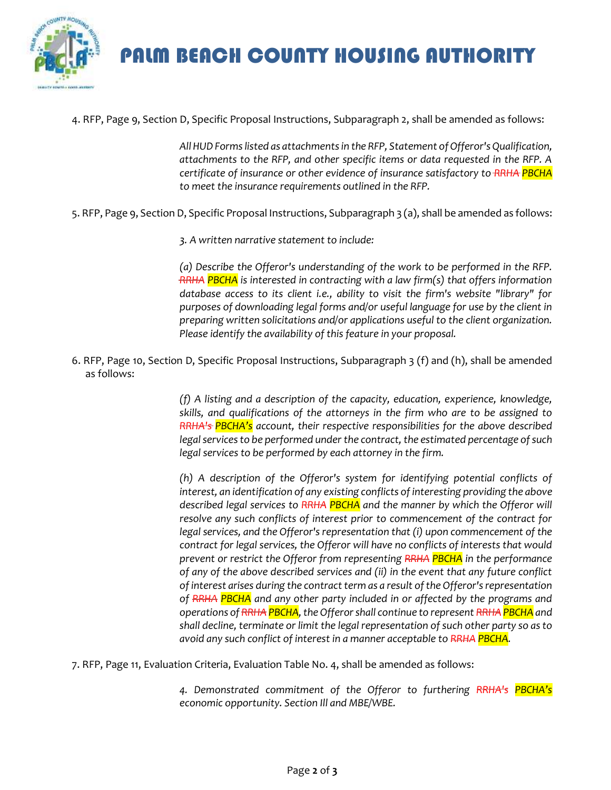

PALM BEACH COUNTY HOUSING AUTHORITY

4. RFP, Page 9, Section D, Specific Proposal Instructions, Subparagraph 2, shall be amended as follows:

*All HUD Forms listed as attachments in the RFP, Statement of Offeror's Qualification, attachments to the RFP, and other specific items or data requested in the RFP. A certificate of insurance or other evidence of insurance satisfactory to RRHA PBCHA to meet the insurance requirements outlined in the RFP.*

5. RFP, Page 9, Section D, Specific Proposal Instructions, Subparagraph 3 (a), shall be amended as follows:

*3. A written narrative statement to include:*

*(a) Describe the Offeror's understanding of the work to be performed in the RFP. RRHA PBCHA is interested in contracting with a law firm(s) that offers information database access to its client i.e., ability to visit the firm's website "library" for purposes of downloading legal forms and/or useful language for use by the client in preparing written solicitations and/or applications useful to the client organization. Please identify the availability of this feature in your proposal.*

6. RFP, Page 10, Section D, Specific Proposal Instructions, Subparagraph 3 (f) and (h), shall be amended as follows:

> *(f) A listing and a description of the capacity, education, experience, knowledge, skills, and qualifications of the attorneys in the firm who are to be assigned to RRHA's PBCHA's account, their respective responsibilities for the above described legal services to be performed under the contract, the estimated percentage of such legal services to be performed by each attorney in the firm.*

> *(h) A description of the Offeror's system for identifying potential conflicts of interest, an identification of any existing conflicts of interesting providing the above described legal services to RRHA PBCHA and the manner by which the Offeror will resolve any such conflicts of interest prior to commencement of the contract for legal services, and the Offeror's representation that (i) upon commencement of the contract for legal services, the Offeror will have no conflicts of interests that would prevent or restrict the Offeror from representing RRHA PBCHA in the performance of any of the above described services and (ii) in the event that any future conflict of interest arises during the contract term as a result of the Offeror's representation of RRHA PBCHA and any other party included in or affected by the programs and operations of RRHA PBCHA, the Offeror shall continue to represent RRHA PBCHA and shall decline, terminate or limit the legal representation of such other party so as to avoid any such conflict of interest in a manner acceptable to RRHA PBCHA.*

7. RFP, Page 11, Evaluation Criteria, Evaluation Table No. 4, shall be amended as follows:

*4. Demonstrated commitment of the Offeror to furthering RRHA's PBCHA's economic opportunity. Section Ill and MBE/WBE.*